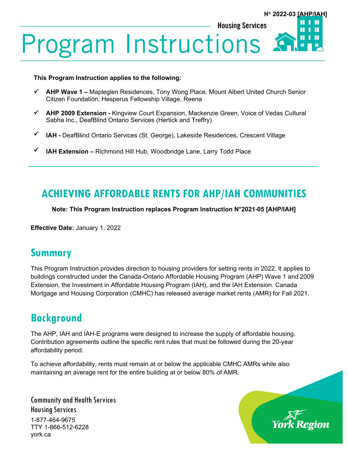### Ш **Housing Services** Ш **Program Instructions** П

#### **This Program Instruction applies to the following:**

- **AHP Wave 1 –** Mapleglen Residences, Tony Wong Place, Mount Albert United Church Senior Citizen Foundation, Hesperus Fellowship Village, Reena
- **AHP 2009 Extension -** Kingview Court Expansion, Mackenzie Green, Voice of Vedas Cultural Sabha Inc., DeafBlind Ontario Services (Hertick and Treffry)
- **IAH -** DeafBlind Ontario Services (St. George), Lakeside Residences, Crescent Village
- **IAH Extension –** Richmond Hill Hub, Woodbridge Lane, Larry Todd Place

## **ACHIEVING AFFORDABLE RENTS FOR AHP/IAH COMMUNITIES**

**Note: This Program Instruction replaces Program Instruction N°2021-05 [AHP/IAH]**

**Effective Date:** January 1, 2022

## **Summary**

This Program Instruction provides direction to housing providers for setting rents in 2022. It applies to buildings constructed under the Canada-Ontario Affordable Housing Program (AHP) Wave 1 and 2009 Extension, the Investment in Affordable Housing Program (IAH), and the IAH Extension. Canada Mortgage and Housing Corporation (CMHC) has released average market rents (AMR) for Fall 2021.

## **Background**

The AHP, IAH and IAH-E programs were designed to increase the supply of affordable housing. Contribution agreements outline the specific rent rules that must be followed during the 20-year affordability period.

To achieve affordability, rents must remain at or below the applicable CMHC AMRs while also maintaining an average rent for the entire building at or below 80% of AMR.

Community and Health Services Housing Services 1-877-464-9675 TTY 1-866-512-6228 york.ca



**N**° **2022-03 [AHP/IAH]**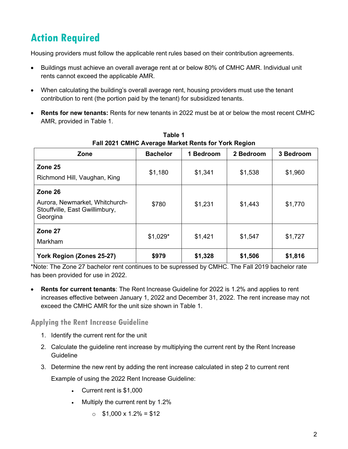# **Action Required**

Housing providers must follow the applicable rent rules based on their contribution agreements.

- Buildings must achieve an overall average rent at or below 80% of CMHC AMR. Individual unit rents cannot exceed the applicable AMR.
- When calculating the building's overall average rent, housing providers must use the tenant contribution to rent (the portion paid by the tenant) for subsidized tenants.
- **Rents for new tenants:** Rents for new tenants in 2022 must be at or below the most recent CMHC AMR, provided in Table 1.

| Zone                                                                                    | <b>Bachelor</b> | 1 Bedroom | 2 Bedroom | 3 Bedroom |
|-----------------------------------------------------------------------------------------|-----------------|-----------|-----------|-----------|
| Zone 25<br>Richmond Hill, Vaughan, King                                                 | \$1,180         | \$1,341   | \$1,538   | \$1,960   |
| Zone 26<br>Aurora, Newmarket, Whitchurch-<br>Stouffville, East Gwillimbury,<br>Georgina | \$780           | \$1,231   | \$1,443   | \$1,770   |
| Zone 27<br>Markham                                                                      | $$1,029*$       | \$1,421   | \$1,547   | \$1,727   |
| York Region (Zones 25-27)                                                               | \$979           | \$1,328   | \$1,506   | \$1,816   |

**Table 1 Fall 2021 CMHC Average Market Rents for York Region**

\*Note: The Zone 27 bachelor rent continues to be supressed by CMHC. The Fall 2019 bachelor rate has been provided for use in 2022.

• **Rents for current tenants**: The Rent Increase Guideline for 2022 is 1.2% and applies to rent increases effective between January 1, 2022 and December 31, 2022. The rent increase may not exceed the CMHC AMR for the unit size shown in Table 1.

**Applying the Rent Increase Guideline**

- 1. Identify the current rent for the unit
- 2. Calculate the guideline rent increase by multiplying the current rent by the Rent Increase **Guideline**
- 3. Determine the new rent by adding the rent increase calculated in step 2 to current rent

Example of using the 2022 Rent Increase Guideline:

- Current rent is \$1,000
- Multiply the current rent by 1.2%
	- $\circ$  \$1,000 x 1.2% = \$12